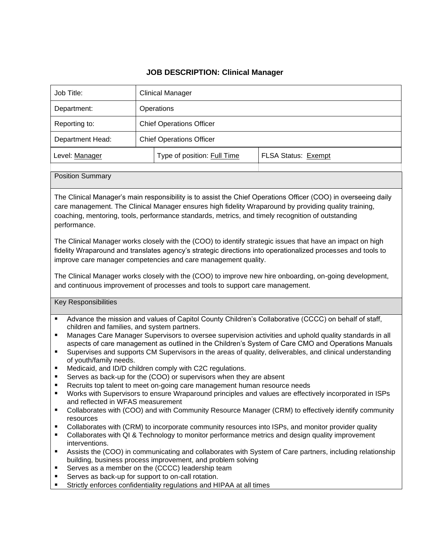## **JOB DESCRIPTION: Clinical Manager**

| Job Title:                                                                                                                                                                                                                                                                                                                                                                                                                                                                                                                                                                                                                                                                                                                                                                                                                                                                                                                                                                                                                                                                                                                                                                                                                                                                                                                                                                                                                                                                                                                                                                       | <b>Clinical Manager</b>         |                             |                     |
|----------------------------------------------------------------------------------------------------------------------------------------------------------------------------------------------------------------------------------------------------------------------------------------------------------------------------------------------------------------------------------------------------------------------------------------------------------------------------------------------------------------------------------------------------------------------------------------------------------------------------------------------------------------------------------------------------------------------------------------------------------------------------------------------------------------------------------------------------------------------------------------------------------------------------------------------------------------------------------------------------------------------------------------------------------------------------------------------------------------------------------------------------------------------------------------------------------------------------------------------------------------------------------------------------------------------------------------------------------------------------------------------------------------------------------------------------------------------------------------------------------------------------------------------------------------------------------|---------------------------------|-----------------------------|---------------------|
| Department:                                                                                                                                                                                                                                                                                                                                                                                                                                                                                                                                                                                                                                                                                                                                                                                                                                                                                                                                                                                                                                                                                                                                                                                                                                                                                                                                                                                                                                                                                                                                                                      | Operations                      |                             |                     |
| Reporting to:                                                                                                                                                                                                                                                                                                                                                                                                                                                                                                                                                                                                                                                                                                                                                                                                                                                                                                                                                                                                                                                                                                                                                                                                                                                                                                                                                                                                                                                                                                                                                                    | <b>Chief Operations Officer</b> |                             |                     |
| Department Head:                                                                                                                                                                                                                                                                                                                                                                                                                                                                                                                                                                                                                                                                                                                                                                                                                                                                                                                                                                                                                                                                                                                                                                                                                                                                                                                                                                                                                                                                                                                                                                 | <b>Chief Operations Officer</b> |                             |                     |
| Level: Manager                                                                                                                                                                                                                                                                                                                                                                                                                                                                                                                                                                                                                                                                                                                                                                                                                                                                                                                                                                                                                                                                                                                                                                                                                                                                                                                                                                                                                                                                                                                                                                   |                                 | Type of position: Full Time | FLSA Status: Exempt |
| <b>Position Summary</b>                                                                                                                                                                                                                                                                                                                                                                                                                                                                                                                                                                                                                                                                                                                                                                                                                                                                                                                                                                                                                                                                                                                                                                                                                                                                                                                                                                                                                                                                                                                                                          |                                 |                             |                     |
| care management. The Clinical Manager ensures high fidelity Wraparound by providing quality training,<br>coaching, mentoring, tools, performance standards, metrics, and timely recognition of outstanding<br>performance.<br>The Clinical Manager works closely with the (COO) to identify strategic issues that have an impact on high<br>fidelity Wraparound and translates agency's strategic directions into operationalized processes and tools to<br>improve care manager competencies and care management quality.<br>The Clinical Manager works closely with the (COO) to improve new hire onboarding, on-going development,<br>and continuous improvement of processes and tools to support care management.                                                                                                                                                                                                                                                                                                                                                                                                                                                                                                                                                                                                                                                                                                                                                                                                                                                           |                                 |                             |                     |
| <b>Key Responsibilities</b>                                                                                                                                                                                                                                                                                                                                                                                                                                                                                                                                                                                                                                                                                                                                                                                                                                                                                                                                                                                                                                                                                                                                                                                                                                                                                                                                                                                                                                                                                                                                                      |                                 |                             |                     |
| Advance the mission and values of Capitol County Children's Collaborative (CCCC) on behalf of staff,<br>Ξ<br>children and families, and system partners.<br>Manages Care Manager Supervisors to oversee supervision activities and uphold quality standards in all<br>٠<br>aspects of care management as outlined in the Children's System of Care CMO and Operations Manuals<br>Supervises and supports CM Supervisors in the areas of quality, deliverables, and clinical understanding<br>Ξ<br>of youth/family needs.<br>Medicaid, and ID/D children comply with C2C regulations.<br>Ξ<br>Serves as back-up for the (COO) or supervisors when they are absent<br>٠<br>Recruits top talent to meet on-going care management human resource needs<br>П<br>Works with Supervisors to ensure Wraparound principles and values are effectively incorporated in ISPs<br>and reflected in WFAS measurement<br>Collaborates with (COO) and with Community Resource Manager (CRM) to effectively identify community<br>п<br>resources<br>Collaborates with (CRM) to incorporate community resources into ISPs, and monitor provider quality<br>п<br>Collaborates with QI & Technology to monitor performance metrics and design quality improvement<br>п<br>interventions.<br>Assists the (COO) in communicating and collaborates with System of Care partners, including relationship<br>$\blacksquare$<br>building, business process improvement, and problem solving<br>Serves as a member on the (CCCC) leadership team<br>п<br>Serves as back-up for support to on-call rotation. |                                 |                             |                     |

 $\overline{\phantom{0}}$ 

**EXECUTE:** Strictly enforces confidentiality regulations and HIPAA at all times